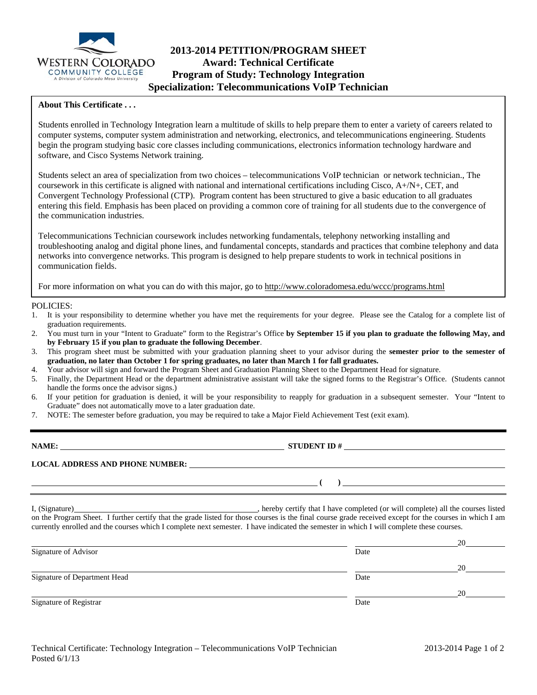

## **2013-2014 PETITION/PROGRAM SHEET Award: Technical Certificate Program of Study: Technology Integration Specialization: Telecommunications VoIP Technician**

## **About This Certificate . . .**

Students enrolled in Technology Integration learn a multitude of skills to help prepare them to enter a variety of careers related to computer systems, computer system administration and networking, electronics, and telecommunications engineering. Students begin the program studying basic core classes including communications, electronics information technology hardware and software, and Cisco Systems Network training.

Students select an area of specialization from two choices – telecommunications VoIP technician or network technician., The coursework in this certificate is aligned with national and international certifications including Cisco, A+/N+, CET, and Convergent Technology Professional (CTP). Program content has been structured to give a basic education to all graduates entering this field. Emphasis has been placed on providing a common core of training for all students due to the convergence of the communication industries.

Telecommunications Technician coursework includes networking fundamentals, telephony networking installing and troubleshooting analog and digital phone lines, and fundamental concepts, standards and practices that combine telephony and data networks into convergence networks. This program is designed to help prepare students to work in technical positions in communication fields.

For more information on what you can do with this major, go to http://www.coloradomesa.edu/wccc/programs.html

#### POLICIES:

- 1. It is your responsibility to determine whether you have met the requirements for your degree. Please see the Catalog for a complete list of graduation requirements.
- 2. You must turn in your "Intent to Graduate" form to the Registrar's Office **by September 15 if you plan to graduate the following May, and by February 15 if you plan to graduate the following December**.
- 3. This program sheet must be submitted with your graduation planning sheet to your advisor during the **semester prior to the semester of graduation, no later than October 1 for spring graduates, no later than March 1 for fall graduates.**
- 4. Your advisor will sign and forward the Program Sheet and Graduation Planning Sheet to the Department Head for signature.
- 5. Finally, the Department Head or the department administrative assistant will take the signed forms to the Registrar's Office. (Students cannot handle the forms once the advisor signs.)
- 6. If your petition for graduation is denied, it will be your responsibility to reapply for graduation in a subsequent semester. Your "Intent to Graduate" does not automatically move to a later graduation date.
- 7. NOTE: The semester before graduation, you may be required to take a Major Field Achievement Test (exit exam).

| NAME:                                  | <b>STUDENT ID#</b> |  |
|----------------------------------------|--------------------|--|
| <b>LOCAL ADDRESS AND PHONE NUMBER:</b> |                    |  |
|                                        |                    |  |

I, (Signature) , hereby certify that I have completed (or will complete) all the courses listed on the Program Sheet. I further certify that the grade listed for those courses is the final course grade received except for the courses in which I am currently enrolled and the courses which I complete next semester. I have indicated the semester in which I will complete these courses.

|                              |      | 20 |
|------------------------------|------|----|
| Signature of Advisor         | Date |    |
|                              |      | 20 |
| Signature of Department Head | Date |    |
|                              |      | 20 |
| Signature of Registrar       | Date |    |